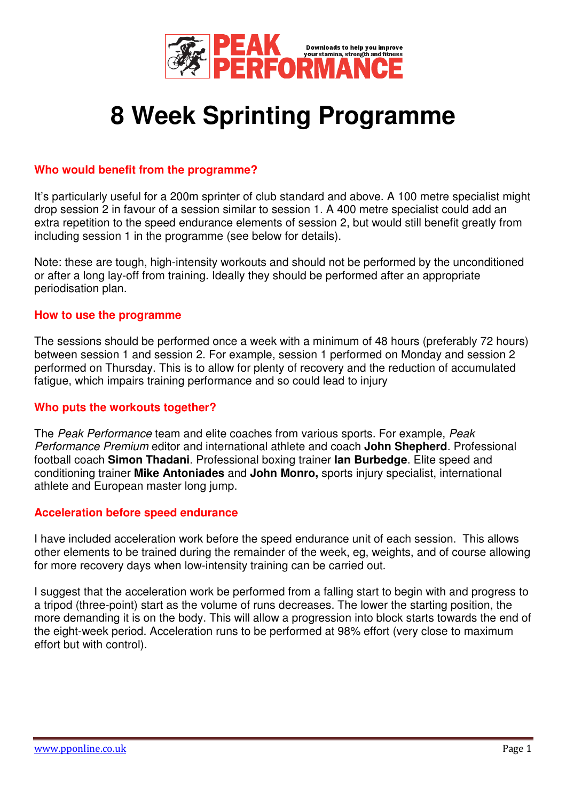

# **8 Week Sprinting Programme**

### **Who would benefit from the programme?**

It's particularly useful for a 200m sprinter of club standard and above. A 100 metre specialist might drop session 2 in favour of a session similar to session 1. A 400 metre specialist could add an extra repetition to the speed endurance elements of session 2, but would still benefit greatly from including session 1 in the programme (see below for details).

Note: these are tough, high-intensity workouts and should not be performed by the unconditioned or after a long lay-off from training. Ideally they should be performed after an appropriate periodisation plan.

#### **How to use the programme**

The sessions should be performed once a week with a minimum of 48 hours (preferably 72 hours) between session 1 and session 2. For example, session 1 performed on Monday and session 2 performed on Thursday. This is to allow for plenty of recovery and the reduction of accumulated fatigue, which impairs training performance and so could lead to injury

#### **Who puts the workouts together?**

The Peak Performance team and elite coaches from various sports. For example, Peak Performance Premium editor and international athlete and coach **John Shepherd**. Professional football coach **Simon Thadani**. Professional boxing trainer **Ian Burbedge**. Elite speed and conditioning trainer **Mike Antoniades** and **John Monro,** sports injury specialist, international athlete and European master long jump.

#### **Acceleration before speed endurance**

I have included acceleration work before the speed endurance unit of each session. This allows other elements to be trained during the remainder of the week, eg, weights, and of course allowing for more recovery days when low-intensity training can be carried out.

I suggest that the acceleration work be performed from a falling start to begin with and progress to a tripod (three-point) start as the volume of runs decreases. The lower the starting position, the more demanding it is on the body. This will allow a progression into block starts towards the end of the eight-week period. Acceleration runs to be performed at 98% effort (very close to maximum effort but with control).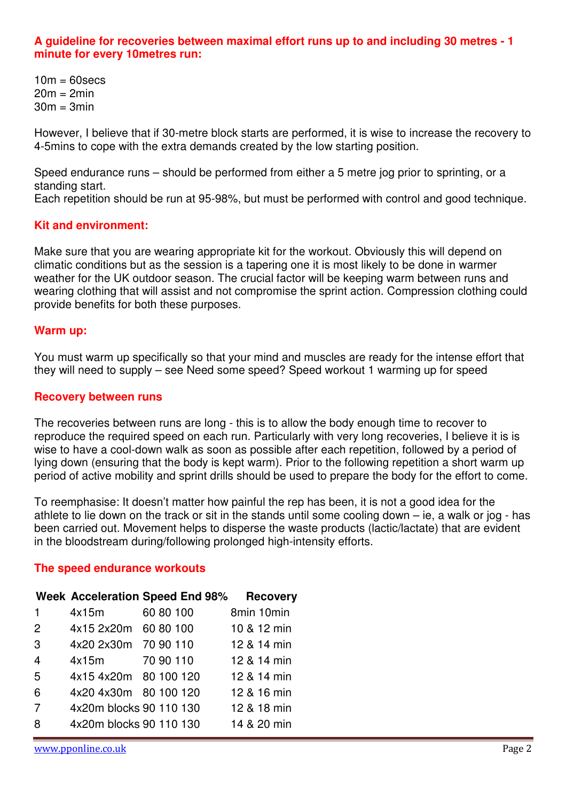#### **A guideline for recoveries between maximal effort runs up to and including 30 metres - 1 minute for every 10metres run:**

 $10m = 60$ secs  $20m = 2min$  $30m = 3min$ 

However, I believe that if 30-metre block starts are performed, it is wise to increase the recovery to 4-5mins to cope with the extra demands created by the low starting position.

Speed endurance runs – should be performed from either a 5 metre jog prior to sprinting, or a standing start.

Each repetition should be run at 95-98%, but must be performed with control and good technique.

#### **Kit and environment:**

Make sure that you are wearing appropriate kit for the workout. Obviously this will depend on climatic conditions but as the session is a tapering one it is most likely to be done in warmer weather for the UK outdoor season. The crucial factor will be keeping warm between runs and wearing clothing that will assist and not compromise the sprint action. Compression clothing could provide benefits for both these purposes.

#### **Warm up:**

You must warm up specifically so that your mind and muscles are ready for the intense effort that they will need to supply – see Need some speed? Speed workout 1 warming up for speed

#### **Recovery between runs**

The recoveries between runs are long - this is to allow the body enough time to recover to reproduce the required speed on each run. Particularly with very long recoveries, I believe it is is wise to have a cool-down walk as soon as possible after each repetition, followed by a period of lying down (ensuring that the body is kept warm). Prior to the following repetition a short warm up period of active mobility and sprint drills should be used to prepare the body for the effort to come.

To reemphasise: It doesn't matter how painful the rep has been, it is not a good idea for the athlete to lie down on the track or sit in the stands until some cooling down – ie, a walk or jog - has been carried out. Movement helps to disperse the waste products (lactic/lactate) that are evident in the bloodstream during/following prolonged high-intensity efforts.

#### **The speed endurance workouts**

|                |                         | Week Acceleration Speed End 98% | <b>Recovery</b> |
|----------------|-------------------------|---------------------------------|-----------------|
| $\mathbf{1}$   | 4x15m                   | 60 80 100                       | 8min 10min      |
| 2              | 4x15 2x20m 60 80 100    |                                 | 10 & 12 min     |
| 3              | 4x20 2x30m 70 90 110    |                                 | 12 & 14 min     |
| 4              | 4x15m 70 90 110         |                                 | 12 & 14 min     |
| 5              | 4x15 4x20m 80 100 120   |                                 | 12 & 14 min     |
| 6              | 4x20 4x30m 80 100 120   |                                 | 12 & 16 min     |
| $\overline{7}$ | 4x20m blocks 90 110 130 |                                 | 12 & 18 min     |
| 8              | 4x20m blocks 90 110 130 |                                 | 14 & 20 min     |